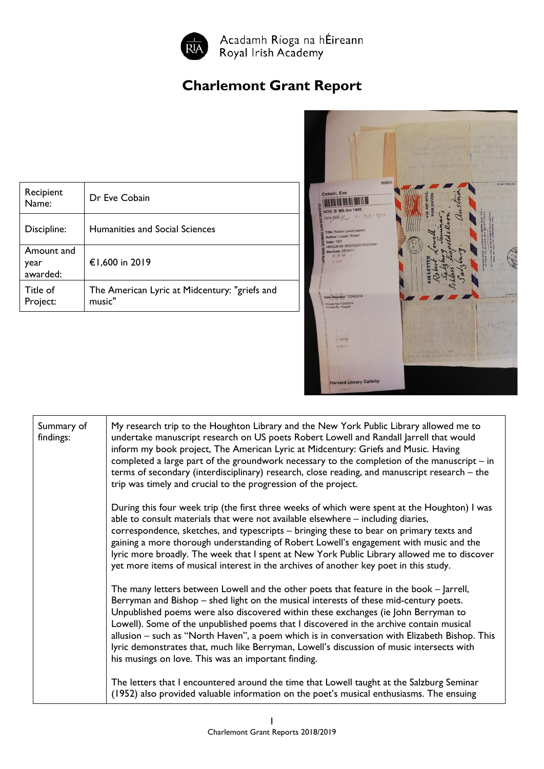

## **Charlemont Grant Report**

| Recipient<br>Name:             | Dr Eve Cobain                                           |
|--------------------------------|---------------------------------------------------------|
| Discipline:                    | <b>Humanities and Social Sciences</b>                   |
| Amount and<br>year<br>awarded: | €1,600 in 2019                                          |
| Title of<br>Project:           | The American Lyric at Midcentury: "griefs and<br>music" |



| Summary of<br>findings: | My research trip to the Houghton Library and the New York Public Library allowed me to<br>undertake manuscript research on US poets Robert Lowell and Randall Jarrell that would<br>inform my book project, The American Lyric at Midcentury: Griefs and Music. Having<br>completed a large part of the groundwork necessary to the completion of the manuscript $-$ in<br>terms of secondary (interdisciplinary) research, close reading, and manuscript research - the<br>trip was timely and crucial to the progression of the project.                                                                             |
|-------------------------|------------------------------------------------------------------------------------------------------------------------------------------------------------------------------------------------------------------------------------------------------------------------------------------------------------------------------------------------------------------------------------------------------------------------------------------------------------------------------------------------------------------------------------------------------------------------------------------------------------------------|
|                         | During this four week trip (the first three weeks of which were spent at the Houghton) I was<br>able to consult materials that were not available elsewhere - including diaries,<br>correspondence, sketches, and typescripts - bringing these to bear on primary texts and<br>gaining a more thorough understanding of Robert Lowell's engagement with music and the<br>lyric more broadly. The week that I spent at New York Public Library allowed me to discover<br>yet more items of musical interest in the archives of another key poet in this study.                                                          |
|                         | The many letters between Lowell and the other poets that feature in the book – Jarrell,<br>Berryman and Bishop – shed light on the musical interests of these mid-century poets.<br>Unpublished poems were also discovered within these exchanges (ie John Berryman to<br>Lowell). Some of the unpublished poems that I discovered in the archive contain musical<br>allusion - such as "North Haven", a poem which is in conversation with Elizabeth Bishop. This<br>lyric demonstrates that, much like Berryman, Lowell's discussion of music intersects with<br>his musings on love. This was an important finding. |
|                         | The letters that I encountered around the time that Lowell taught at the Salzburg Seminar<br>(1952) also provided valuable information on the poet's musical enthusiasms. The ensuing                                                                                                                                                                                                                                                                                                                                                                                                                                  |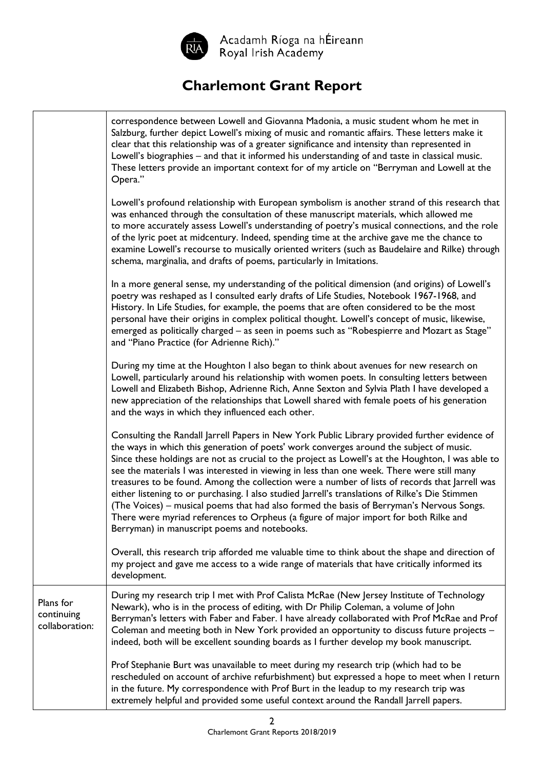

Acadamh Ríoga na hÉireann<br>Royal Irish Academy

## **Charlemont Grant Report**

|                                           | correspondence between Lowell and Giovanna Madonia, a music student whom he met in<br>Salzburg, further depict Lowell's mixing of music and romantic affairs. These letters make it<br>clear that this relationship was of a greater significance and intensity than represented in<br>Lowell's biographies - and that it informed his understanding of and taste in classical music.<br>These letters provide an important context for of my article on "Berryman and Lowell at the<br>Opera."                                                                                                                                                                                                                                                                                                                                      |
|-------------------------------------------|--------------------------------------------------------------------------------------------------------------------------------------------------------------------------------------------------------------------------------------------------------------------------------------------------------------------------------------------------------------------------------------------------------------------------------------------------------------------------------------------------------------------------------------------------------------------------------------------------------------------------------------------------------------------------------------------------------------------------------------------------------------------------------------------------------------------------------------|
|                                           | Lowell's profound relationship with European symbolism is another strand of this research that<br>was enhanced through the consultation of these manuscript materials, which allowed me<br>to more accurately assess Lowell's understanding of poetry's musical connections, and the role<br>of the lyric poet at midcentury. Indeed, spending time at the archive gave me the chance to<br>examine Lowell's recourse to musically oriented writers (such as Baudelaire and Rilke) through<br>schema, marginalia, and drafts of poems, particularly in Imitations.                                                                                                                                                                                                                                                                   |
|                                           | In a more general sense, my understanding of the political dimension (and origins) of Lowell's<br>poetry was reshaped as I consulted early drafts of Life Studies, Notebook 1967-1968, and<br>History. In Life Studies, for example, the poems that are often considered to be the most<br>personal have their origins in complex political thought. Lowell's concept of music, likewise,<br>emerged as politically charged - as seen in poems such as "Robespierre and Mozart as Stage"<br>and "Piano Practice (for Adrienne Rich)."                                                                                                                                                                                                                                                                                                |
|                                           | During my time at the Houghton I also began to think about avenues for new research on<br>Lowell, particularly around his relationship with women poets. In consulting letters between<br>Lowell and Elizabeth Bishop, Adrienne Rich, Anne Sexton and Sylvia Plath I have developed a<br>new appreciation of the relationships that Lowell shared with female poets of his generation<br>and the ways in which they influenced each other.                                                                                                                                                                                                                                                                                                                                                                                           |
|                                           | Consulting the Randall Jarrell Papers in New York Public Library provided further evidence of<br>the ways in which this generation of poets' work converges around the subject of music.<br>Since these holdings are not as crucial to the project as Lowell's at the Houghton, I was able to<br>see the materials I was interested in viewing in less than one week. There were still many<br>treasures to be found. Among the collection were a number of lists of records that Jarrell was<br>either listening to or purchasing. I also studied Jarrell's translations of Rilke's Die Stimmen<br>(The Voices) – musical poems that had also formed the basis of Berryman's Nervous Songs.<br>There were myriad references to Orpheus (a figure of major import for both Rilke and<br>Berryman) in manuscript poems and notebooks. |
|                                           | Overall, this research trip afforded me valuable time to think about the shape and direction of<br>my project and gave me access to a wide range of materials that have critically informed its<br>development.                                                                                                                                                                                                                                                                                                                                                                                                                                                                                                                                                                                                                      |
| Plans for<br>continuing<br>collaboration: | During my research trip I met with Prof Calista McRae (New Jersey Institute of Technology<br>Newark), who is in the process of editing, with Dr Philip Coleman, a volume of John<br>Berryman's letters with Faber and Faber. I have already collaborated with Prof McRae and Prof<br>Coleman and meeting both in New York provided an opportunity to discuss future projects -<br>indeed, both will be excellent sounding boards as I further develop my book manuscript.                                                                                                                                                                                                                                                                                                                                                            |
|                                           | Prof Stephanie Burt was unavailable to meet during my research trip (which had to be<br>rescheduled on account of archive refurbishment) but expressed a hope to meet when I return<br>in the future. My correspondence with Prof Burt in the leadup to my research trip was<br>extremely helpful and provided some useful context around the Randall Jarrell papers.                                                                                                                                                                                                                                                                                                                                                                                                                                                                |